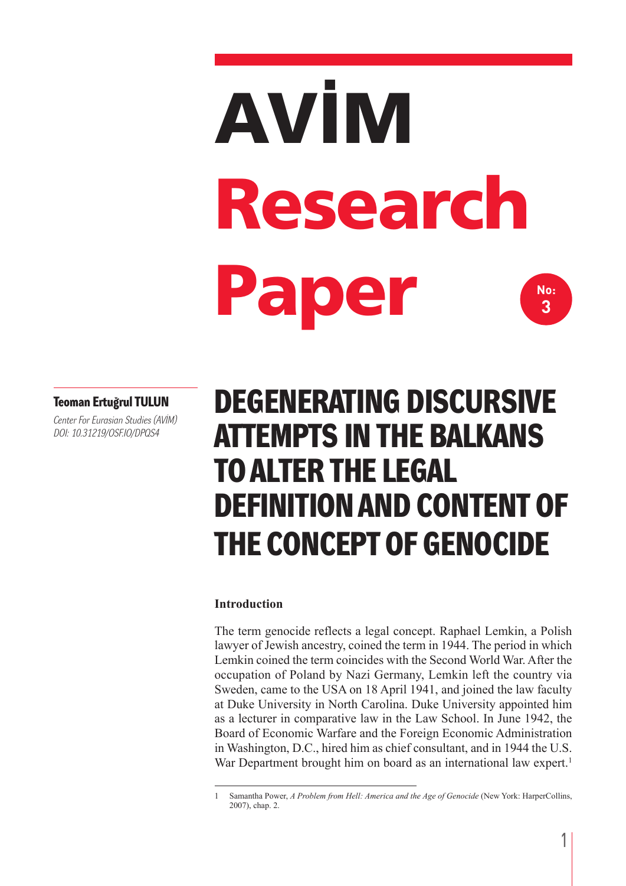# **AVİM Research Paper No: 3**

#### **Teoman Ertuğrul TULUN**

*Center For Eurasian Studies (AVİM) doI: 10.31219/oSF.Io/dpqS4*

# **DEGENERATING DISCURSIVE ATTEMPTS IN THE BALKANS TOALTER THE LEGAL DEFINITIONAND CONTENT OF THE CONCEPT OF GENOCIDE**

#### **Introduction**

The term genocide reflects a legal concept. Raphael Lemkin, a Polish lawyer of Jewish ancestry, coined the term in 1944. The period in which Lemkin coined the term coincides with the Second World War. After the occupation of Poland by Nazi Germany, Lemkin left the country via Sweden, came to the USA on 18 April 1941, and joined the law faculty at Duke University in North Carolina. Duke University appointed him as a lecturer in comparative law in the Law School. In June 1942, the Board of Economic Warfare and the Foreign Economic Administration in Washington, D.C., hired him as chief consultant, and in 1944 the U.S. War Department brought him on board as an international law expert.<sup>1</sup>

<sup>1</sup> Samantha Power, *A Problem from Hell: America and the Age of Genocide* (New York: HarperCollins, 2007), chap. 2.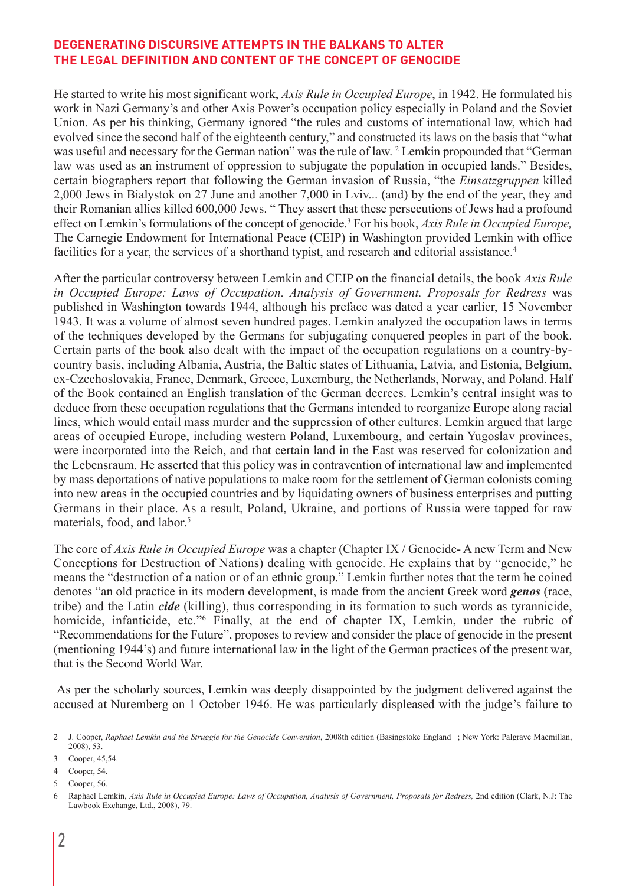He started to write his most significant work, *Axis Rule in Occupied Europe*, in 1942. He formulated his work in Nazi Germany's and other Axis Power's occupation policy especially in Poland and the Soviet Union. As per his thinking, Germany ignored "the rules and customs of international law, which had evolved since the second half of the eighteenth century," and constructed its laws on the basis that "what was useful and necessary for the German nation" was the rule of law. <sup>2</sup> Lemkin propounded that "German law was used as an instrument of oppression to subjugate the population in occupied lands." Besides, certain biographers report that following the German invasion of Russia, "the *Einsatzgruppen* killed 2,000 Jews in Bialystok on 27 June and another 7,000 in Lviv... (and) by the end of the year, they and their Romanian allies killed 600,000 Jews. " They assert that these persecutions of Jews had a profound effect on Lemkin's formulations of the concept of genocide. <sup>3</sup> For his book, *Axis Rule in Occupied Europe,* The Carnegie Endowment for International Peace (CEIP) in Washington provided Lemkin with office facilities for a year, the services of a shorthand typist, and research and editorial assistance.<sup>4</sup>

After the particular controversy between Lemkin and CEIP on the financial details, the book *Axis Rule in Occupied Europe: Laws of Occupation. Analysis of Government. Proposals for Redress* was published in Washington towards 1944, although his preface was dated a year earlier, 15 November 1943. It was a volume of almost seven hundred pages. Lemkin analyzed the occupation laws in terms of the techniques developed by the Germans for subjugating conquered peoples in part of the book. Certain parts of the book also dealt with the impact of the occupation regulations on a country-bycountry basis, including Albania, Austria, the Baltic states of Lithuania, Latvia, and Estonia, Belgium, ex-Czechoslovakia, France, Denmark, Greece, Luxemburg, the Netherlands, Norway, and Poland. Half of the Book contained an English translation of the German decrees. Lemkin's central insight was to deduce from these occupation regulations that the Germans intended to reorganize Europe along racial lines, which would entail mass murder and the suppression of other cultures. Lemkin argued that large areas of occupied Europe, including western Poland, Luxembourg, and certain Yugoslav provinces, were incorporated into the Reich, and that certain land in the East was reserved for colonization and the Lebensraum. He asserted that this policy was in contravention of international law and implemented by mass deportations of native populations to make room for the settlement of German colonists coming into new areas in the occupied countries and by liquidating owners of business enterprises and putting Germans in their place. As a result, Poland, Ukraine, and portions of Russia were tapped for raw materials, food, and labor. 5

The core of *Axis Rule in Occupied Europe* was a chapter (Chapter IX / Genocide- A new Term and New Conceptions for Destruction of Nations) dealing with genocide. He explains that by "genocide," he means the "destruction of a nation or of an ethnic group." Lemkin further notes that the term he coined denotes "an old practice in its modern development, is made from the ancient Greek word *genos* (race, tribe) and the Latin *cide* (killing), thus corresponding in its formation to such words as tyrannicide, homicide, infanticide, etc."<sup>6</sup> Finally, at the end of chapter IX, Lemkin, under the rubric of "Recommendations for the Future", proposes to review and consider the place of genocide in the present (mentioning 1944's) and future international law in the light of the German practices of the present war, that is the Second World War.

As per the scholarly sources, Lemkin was deeply disappointed by the judgment delivered against the accused at Nuremberg on 1 October 1946. He was particularly displeased with the judge's failure to

<sup>2</sup> J. Cooper, *Raphael Lemkin and the Struggle for the Genocide Convention*, 2008th edition (Basingstoke England ; New York: Palgrave Macmillan, 2008), 53.

<sup>3</sup> Cooper, 45,54.

<sup>4</sup> Cooper, 54.

<sup>5</sup> Cooper, 56.

<sup>6</sup> Raphael Lemkin, Axis Rule in Occupied Europe: Laws of Occupation, Analysis of Government, Proposals for Redress, 2nd edition (Clark, N.J: The Lawbook Exchange, Ltd., 2008), 79.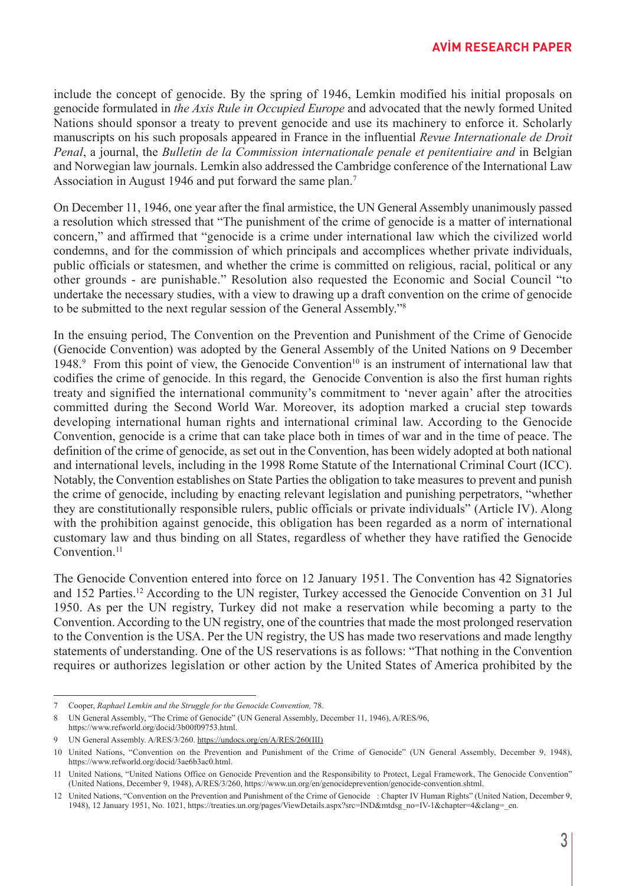include the concept of genocide. By the spring of 1946, Lemkin modified his initial proposals on genocide formulated in *the Axis Rule in Occupied Europe* and advocated that the newly formed United Nations should sponsor a treaty to prevent genocide and use its machinery to enforce it. Scholarly manuscripts on his such proposals appeared in France in the influential *Revue Internationale de Droit Penal*, a journal, the *Bulletin de la Commission internationale penale et penitentiaire and* in Belgian and Norwegian law journals. Lemkin also addressed the Cambridge conference of the International Law Association in August 1946 and put forward the same plan. 7

On December 11, 1946, one year after the final armistice, the UN General Assembly unanimously passed a resolution which stressed that "The punishment of the crime of genocide is a matter of international concern," and affirmed that "genocide is a crime under international law which the civilized world condemns, and for the commission of which principals and accomplices whether private individuals, public officials or statesmen, and whether the crime is committed on religious, racial, political or any other grounds - are punishable." Resolution also requested the Economic and Social Council "to undertake the necessary studies, with a view to drawing up a draft convention on the crime of genocide to be submitted to the next regular session of the General Assembly."8

In the ensuing period, The Convention on the Prevention and Punishment of the Crime of Genocide (Genocide Convention) was adopted by the General Assembly of the United Nations on 9 December 1948.<sup>9</sup> From this point of view, the Genocide Convention<sup>10</sup> is an instrument of international law that codifies the crime of genocide. In this regard, the Genocide Convention is also the first human rights treaty and signified the international community's commitment to 'never again' after the atrocities committed during the Second World War. Moreover, its adoption marked a crucial step towards developing international human rights and international criminal law. According to the Genocide Convention, genocide is a crime that can take place both in times of war and in the time of peace. The definition of the crime of genocide, as set out in the Convention, has been widely adopted at both national and international levels, including in the 1998 Rome Statute of the International Criminal Court (ICC). Notably, the Convention establishes on State Parties the obligation to take measures to prevent and punish the crime of genocide, including by enacting relevant legislation and punishing perpetrators, "whether they are constitutionally responsible rulers, public officials or private individuals" (Article IV). Along with the prohibition against genocide, this obligation has been regarded as a norm of international customary law and thus binding on all States, regardless of whether they have ratified the Genocide Convention. 11

The Genocide Convention entered into force on 12 January 1951. The Convention has 42 Signatories and 152 Parties. <sup>12</sup> According to the UN register, Turkey accessed the Genocide Convention on 31 Jul 1950. As per the UN registry, Turkey did not make a reservation while becoming a party to the Convention. According to the UN registry, one of the countries that made the most prolonged reservation to the Convention is the USA. Per the UN registry, the US has made two reservations and made lengthy statements of understanding. One of the US reservations is as follows: "That nothing in the Convention requires or authorizes legislation or other action by the United States of America prohibited by the

<sup>7</sup> Cooper, *Raphael Lemkin and the Struggle for the Genocide Convention,* 78.

<sup>8</sup> UN General Assembly, "The Crime of Genocide" (UN General Assembly, December 11, 1946), A/RES/96, https://www.refworld.org/docid/3b00f09753.html.

<sup>9</sup> UN General Assembly. A/RES/3/260. https://undocs.org/en/A/RES/260(III)

<sup>10</sup> United Nations, "Convention on the Prevention and Punishment of the Crime of Genocide" (UN General Assembly, December 9, 1948), https://www.refworld.org/docid/3ae6b3ac0.html.

<sup>11</sup> United Nations, "United Nations Office on Genocide Prevention and the Responsibility to Protect, Legal Framework, The Genocide Convention" (United Nations, December 9, 1948), A/RES/3/260, https://www.un.org/en/genocideprevention/genocide-convention.shtml.

<sup>12</sup> United Nations, "Convention on the Prevention and Punishment of the Crime of Genocide : Chapter IV Human Rights" (United Nation, December 9, 1948), 12 January 1951, No. 1021, https://treaties.un.org/pages/ViewDetails.aspx?src=IND&mtdsg\_no=IV-1&chapter=4&clang=\_en.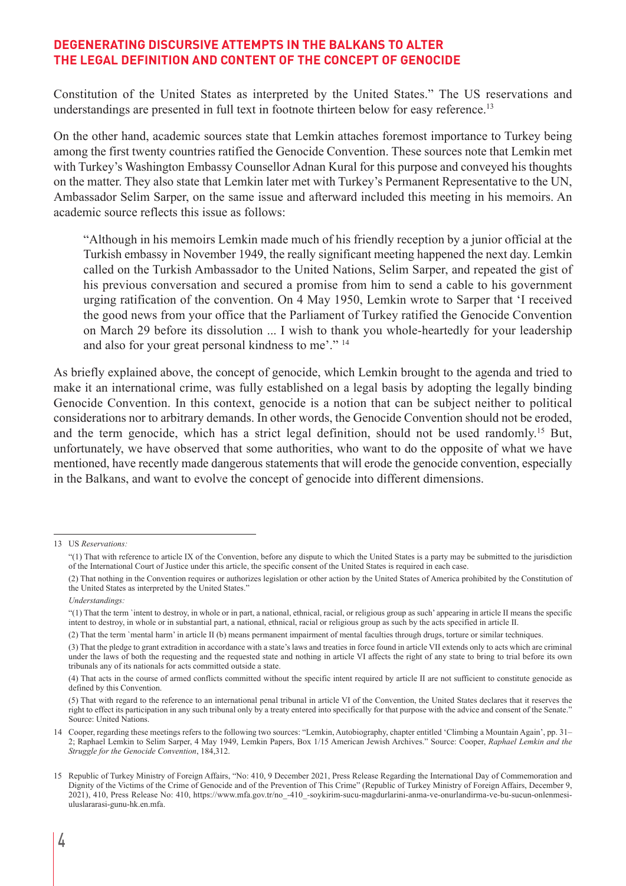Constitution of the United States as interpreted by the United States." The US reservations and understandings are presented in full text in footnote thirteen below for easy reference.<sup>13</sup>

On the other hand, academic sources state that Lemkin attaches foremost importance to Turkey being among the first twenty countries ratified the Genocide Convention. These sources note that Lemkin met with Turkey's Washington Embassy Counsellor Adnan Kural for this purpose and conveyed his thoughts on the matter. They also state that Lemkin later met with Turkey's Permanent Representative to the UN, Ambassador Selim Sarper, on the same issue and afterward included this meeting in his memoirs. An academic source reflects this issue as follows:

"Although in his memoirs Lemkin made much of his friendly reception by a junior official at the Turkish embassy in November 1949, the really significant meeting happened the next day. Lemkin called on the Turkish Ambassador to the United Nations, Selim Sarper, and repeated the gist of his previous conversation and secured a promise from him to send a cable to his government urging ratification of the convention. On 4 May 1950, Lemkin wrote to Sarper that 'I received the good news from your office that the Parliament of Turkey ratified the Genocide Convention on March 29 before its dissolution ... I wish to thank you whole-heartedly for your leadership and also for your great personal kindness to me'." <sup>14</sup>

As briefly explained above, the concept of genocide, which Lemkin brought to the agenda and tried to make it an international crime, was fully established on a legal basis by adopting the legally binding Genocide Convention. In this context, genocide is a notion that can be subject neither to political considerations nor to arbitrary demands. In other words, the Genocide Convention should not be eroded, and the term genocide, which has a strict legal definition, should not be used randomly. <sup>15</sup> But, unfortunately, we have observed that some authorities, who want to do the opposite of what we have mentioned, have recently made dangerous statements that will erode the genocide convention, especially in the Balkans, and want to evolve the concept of genocide into different dimensions.

(2) That the term `mental harm' in article II (b) means permanent impairment of mental faculties through drugs, torture or similar techniques.

<sup>13</sup> US *Reservations:*

<sup>&</sup>quot;(1) That with reference to article IX of the Convention, before any dispute to which the United States is a party may be submitted to the jurisdiction of the International Court of Justice under this article, the specific consent of the United States is required in each case.

<sup>(2)</sup> That nothing in the Convention requires or authorizes legislation or other action by the United States of America prohibited by the Constitution of the United States as interpreted by the United States."

*Understandings:*

<sup>&</sup>quot;(1) That the term `intent to destroy, in whole or in part, a national, ethnical, racial, or religious group as such' appearing in article II means the specific intent to destroy, in whole or in substantial part, a national, ethnical, racial or religious group as such by the acts specified in article II.

<sup>(3)</sup> That the pledge to grant extradition in accordance with a state's laws and treaties in force found in article VII extends only to acts which are criminal under the laws of both the requesting and the requested state and nothing in article VI affects the right of any state to bring to trial before its own tribunals any of its nationals for acts committed outside a state.

<sup>(4)</sup> That acts in the course of armed conflicts committed without the specific intent required by article II are not sufficient to constitute genocide as defined by this Convention.

<sup>(5)</sup> That with regard to the reference to an international penal tribunal in article VI of the Convention, the United States declares that it reserves the right to effect its participation in any such tribunal only by a treaty entered into specifically for that purpose with the advice and consent of the Senate." Source: United Nations.

<sup>14</sup> Cooper, regarding these meetings refers to the following two sources: "Lemkin, Autobiography, chapter entitled 'Climbing a Mountain Again', pp. 31– 2; Raphael Lemkin to Selim Sarper, 4 May 1949, Lemkin Papers, Box 1/15 American Jewish Archives." Source: Cooper, *Raphael Lemkin and the Struggle for the Genocide Convention*, 184,312.

<sup>15</sup> Republic of Turkey Ministry of Foreign Affairs, "No: 410, 9 December 2021, Press Release Regarding the International Day of Commemoration and Dignity of the Victims of the Crime of Genocide and of the Prevention of This Crime" (Republic of Turkey Ministry of Foreign Affairs, December 9, 2021), 410, Press Release No: 410, https://www.mfa.gov.tr/no\_-410\_-soykirim-sucu-magdurlarini-anma-ve-onurlandirma-ve-bu-sucun-onlenmesiuluslararasi-gunu-hk.en.mfa.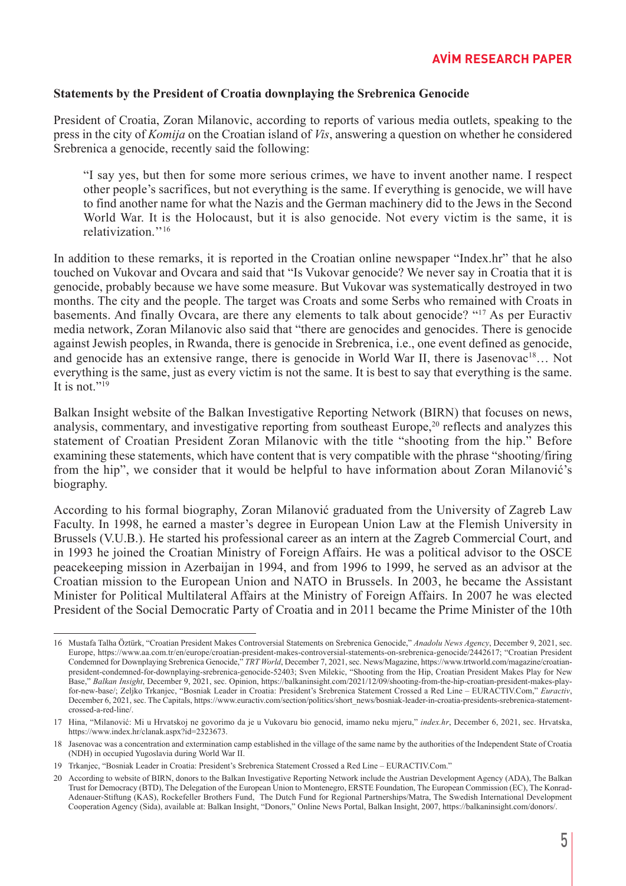#### **Statements by the President of Croatia downplaying the Srebrenica Genocide**

President of Croatia, Zoran Milanovic, according to reports of various media outlets, speaking to the press in the city of *Komija* on the Croatian island of *Vis*, answering a question on whether he considered Srebrenica a genocide, recently said the following:

"I say yes, but then for some more serious crimes, we have to invent another name. I respect other people's sacrifices, but not everything is the same. If everything is genocide, we will have to find another name for what the Nazis and the German machinery did to the Jews in the Second World War. It is the Holocaust, but it is also genocide. Not every victim is the same, it is relativization<sup>"16</sup>

In addition to these remarks, it is reported in the Croatian online newspaper "Index.hr" that he also touched on Vukovar and Ovcara and said that "Is Vukovar genocide? We never say in Croatia that it is genocide, probably because we have some measure. But Vukovar was systematically destroyed in two months. The city and the people. The target was Croats and some Serbs who remained with Croats in basements. And finally Ovcara, are there any elements to talk about genocide? "17 As per Euractiv media network, Zoran Milanovic also said that "there are genocides and genocides. There is genocide against Jewish peoples, in Rwanda, there is genocide in Srebrenica, i.e., one event defined as genocide, and genocide has an extensive range, there is genocide in World War II, there is Jasenovac<sup>18</sup>... Not everything is the same, just as every victim is not the same. It is best to say that everything is the same. It is not." $^{19}$ 

Balkan Insight website of the Balkan Investigative Reporting Network (BIRN) that focuses on news, analysis, commentary, and investigative reporting from southeast Europe, <sup>20</sup> reflects and analyzes this statement of Croatian President Zoran Milanovic with the title "shooting from the hip." Before examining these statements, which have content that is very compatible with the phrase "shooting/firing from the hip", we consider that it would be helpful to have information about Zoran Milanović's biography.

According to his formal biography, Zoran Milanović graduated from the University of Zagreb Law Faculty. In 1998, he earned a master's degree in European Union Law at the Flemish University in Brussels (V.U.B.). He started his professional career as an intern at the Zagreb Commercial Court, and in 1993 he joined the Croatian Ministry of Foreign Affairs. He was a political advisor to the OSCE peacekeeping mission in Azerbaijan in 1994, and from 1996 to 1999, he served as an advisor at the Croatian mission to the European Union and NATO in Brussels. In 2003, he became the Assistant Minister for Political Multilateral Affairs at the Ministry of Foreign Affairs. In 2007 he was elected President of the Social Democratic Party of Croatia and in 2011 became the Prime Minister of the 10th

<sup>16</sup> Mustafa Talha Öztürk, "Croatian President Makes Controversial Statements on Srebrenica Genocide," *Anadolu News Agency*, December 9, 2021, sec. Europe, https://www.aa.com.tr/en/europe/croatian-president-makes-controversial-statements-on-srebrenica-genocide/2442617; "Croatian President Condemned for Downplaying Srebrenica Genocide," *TRT World*, December 7, 2021, sec. News/Magazine, https://www.trtworld.com/magazine/croatianpresident-condemned-for-downplaying-srebrenica-genocide-52403; Sven Milekic, "Shooting from the Hip, Croatian President Makes Play for New Base," *Balkan Insight*, December 9, 2021, sec. Opinion, https://balkaninsight.com/2021/12/09/shooting-from-the-hip-croatian-president-makes-playfor-new-base/; Zeljko Trkanjec, "Bosniak Leader in Croatia: President's Srebrenica Statement Crossed a Red Line – EURACTIV.Com," *Euractiv*, December 6, 2021, sec. The Capitals, https://www.euractiv.com/section/politics/short\_news/bosniak-leader-in-croatia-presidents-srebrenica-statementcrossed-a-red-line/.

<sup>17</sup> Hina, "Milanović: Mi u Hrvatskoj ne govorimo da je u Vukovaru bio genocid, imamo neku mjeru," *index.hr*, December 6, 2021, sec. Hrvatska, https://www.index.hr/clanak.aspx?id=2323673.

<sup>18</sup> Jasenovac was a concentration and extermination camp established in the village of the same name by the authorities of the Independent State of Croatia (NDH) in occupied Yugoslavia during World War II.

<sup>19</sup> Trkanjec, "Bosniak Leader in Croatia: President's Srebrenica Statement Crossed a Red Line – EURACTIV.Com."

<sup>20</sup> According to website of BIRN, donors to the Balkan Investigative Reporting Network include the Austrian Development Agency (ADA), The Balkan Trust for Democracy (BTD), The Delegation of the European Union to Montenegro, ERSTE Foundation, The European Commission (EC), The Konrad-Adenauer-Stiftung (KAS), Rockefeller Brothers Fund, The Dutch Fund for Regional Partnerships/Matra, The Swedish International Development Cooperation Agency (Sida), available at: Balkan Insight, "Donors," Online News Portal, Balkan Insight, 2007, https://balkaninsight.com/donors/.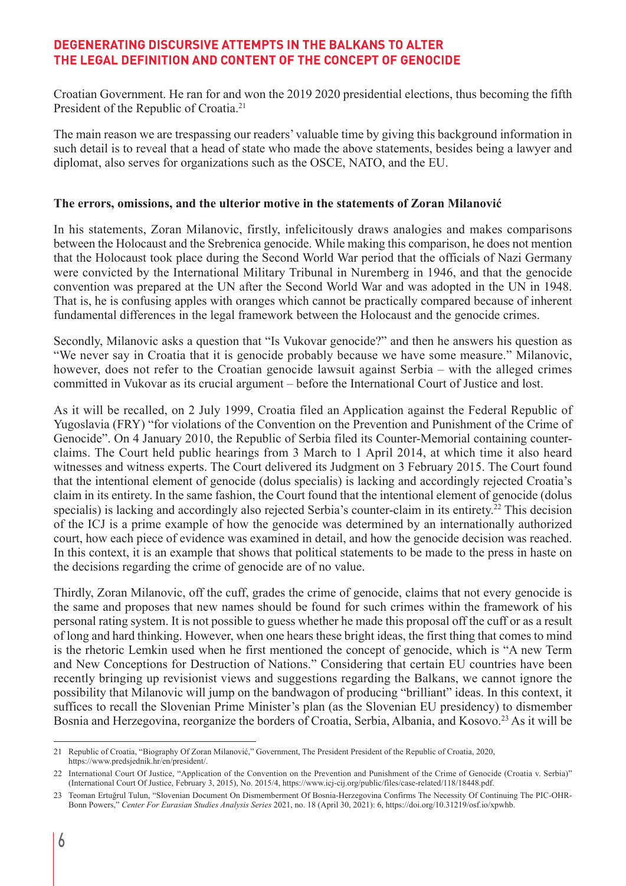Croatian Government. He ran for and won the 2019 2020 presidential elections, thus becoming the fifth President of the Republic of Croatia.<sup>21</sup>

The main reason we are trespassing our readers' valuable time by giving this background information in such detail is to reveal that a head of state who made the above statements, besides being a lawyer and diplomat, also serves for organizations such as the OSCE, NATO, and the EU.

#### **The errors, omissions, and the ulterior motive in the statements of Zoran Milanović**

In his statements, Zoran Milanovic, firstly, infelicitously draws analogies and makes comparisons between the Holocaust and the Srebrenica genocide. While making this comparison, he does not mention that the Holocaust took place during the Second World War period that the officials of Nazi Germany were convicted by the International Military Tribunal in Nuremberg in 1946, and that the genocide convention was prepared at the UN after the Second World War and was adopted in the UN in 1948. That is, he is confusing apples with oranges which cannot be practically compared because of inherent fundamental differences in the legal framework between the Holocaust and the genocide crimes.

Secondly, Milanovic asks a question that "Is Vukovar genocide?" and then he answers his question as "We never say in Croatia that it is genocide probably because we have some measure." Milanovic, however, does not refer to the Croatian genocide lawsuit against Serbia – with the alleged crimes committed in Vukovar as its crucial argument – before the International Court of Justice and lost.

As it will be recalled, on 2 July 1999, Croatia filed an Application against the Federal Republic of Yugoslavia (FRY) "for violations of the Convention on the Prevention and Punishment of the Crime of Genocide". On 4 January 2010, the Republic of Serbia filed its Counter-Memorial containing counterclaims. The Court held public hearings from 3 March to 1 April 2014, at which time it also heard witnesses and witness experts. The Court delivered its Judgment on 3 February 2015. The Court found that the intentional element of genocide (dolus specialis) is lacking and accordingly rejected Croatia's claim in its entirety. In the same fashion, the Court found that the intentional element of genocide (dolus specialis) is lacking and accordingly also rejected Serbia's counter-claim in its entirety.<sup>22</sup> This decision of the ICJ is a prime example of how the genocide was determined by an internationally authorized court, how each piece of evidence was examined in detail, and how the genocide decision was reached. In this context, it is an example that shows that political statements to be made to the press in haste on the decisions regarding the crime of genocide are of no value.

Thirdly, Zoran Milanovic, off the cuff, grades the crime of genocide, claims that not every genocide is the same and proposes that new names should be found for such crimes within the framework of his personal rating system. It is not possible to guess whether he made this proposal off the cuff or as a result of long and hard thinking. However, when one hears these bright ideas, the first thing that comes to mind is the rhetoric Lemkin used when he first mentioned the concept of genocide, which is "A new Term and New Conceptions for Destruction of Nations." Considering that certain EU countries have been recently bringing up revisionist views and suggestions regarding the Balkans, we cannot ignore the possibility that Milanovic will jump on the bandwagon of producing "brilliant" ideas. In this context, it suffices to recall the Slovenian Prime Minister's plan (as the Slovenian EU presidency) to dismember Bosnia and Herzegovina, reorganize the borders of Croatia, Serbia, Albania, and Kosovo. <sup>23</sup> As it will be

<sup>21</sup> Republic of Croatia, "Biography Of Zoran Milanović," Government, The President President of the Republic of Croatia, 2020, https://www.predsjednik.hr/en/president/.

<sup>22</sup> International Court Of Justice, "Application of the Convention on the Prevention and Punishment of the Crime of Genocide (Croatia v. Serbia)" (International Court Of Justice, February 3, 2015), No. 2015/4, https://www.icj-cij.org/public/files/case-related/118/18448.pdf.

<sup>23</sup> Teoman Ertuğrul Tulun, "Slovenian Document On Dismemberment Of Bosnia-Herzegovina Confirms The Necessity Of Continuing The PIC-OHR-Bonn Powers," *Center For Eurasian Studies Analysis Series* 2021, no. 18 (April 30, 2021): 6, https://doi.org/10.31219/osf.io/xpwhb.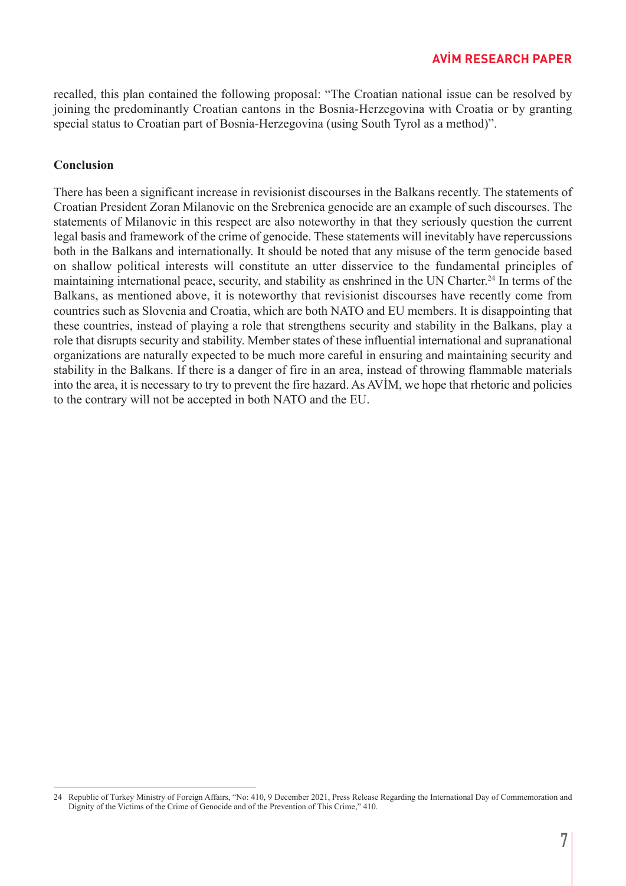recalled, this plan contained the following proposal: "The Croatian national issue can be resolved by joining the predominantly Croatian cantons in the Bosnia-Herzegovina with Croatia or by granting special status to Croatian part of Bosnia-Herzegovina (using South Tyrol as a method)".

## **Conclusion**

There has been a significant increase in revisionist discourses in the Balkans recently. The statements of Croatian President Zoran Milanovic on the Srebrenica genocide are an example of such discourses. The statements of Milanovic in this respect are also noteworthy in that they seriously question the current legal basis and framework of the crime of genocide. These statements will inevitably have repercussions both in the Balkans and internationally. It should be noted that any misuse of the term genocide based on shallow political interests will constitute an utter disservice to the fundamental principles of maintaining international peace, security, and stability as enshrined in the UN Charter. <sup>24</sup> In terms of the Balkans, as mentioned above, it is noteworthy that revisionist discourses have recently come from countries such as Slovenia and Croatia, which are both NATO and EU members. It is disappointing that these countries, instead of playing a role that strengthens security and stability in the Balkans, play a role that disrupts security and stability. Member states of these influential international and supranational organizations are naturally expected to be much more careful in ensuring and maintaining security and stability in the Balkans. If there is a danger of fire in an area, instead of throwing flammable materials into the area, it is necessary to try to prevent the fire hazard. As AVİM, we hope that rhetoric and policies to the contrary will not be accepted in both NATO and the EU.

<sup>24</sup> Republic of Turkey Ministry of Foreign Affairs, "No: 410, 9 December 2021, Press Release Regarding the International Day of Commemoration and Dignity of the Victims of the Crime of Genocide and of the Prevention of This Crime," 410.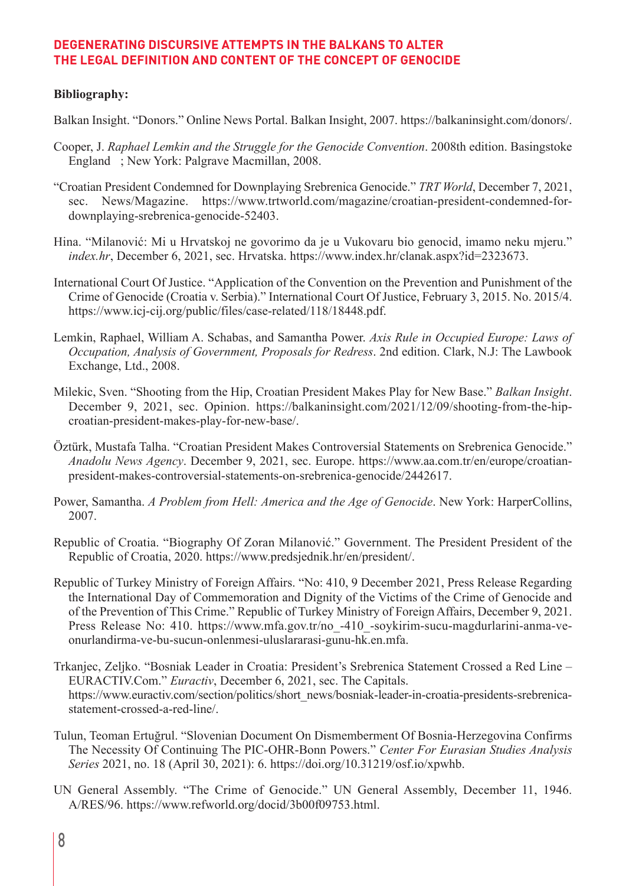#### **Bibliography:**

Balkan Insight. "Donors." Online News Portal. Balkan Insight, 2007. https://balkaninsight.com/donors/.

- Cooper, J. *Raphael Lemkin and the Struggle for the Genocide Convention*. 2008th edition. Basingstoke England ; New York: Palgrave Macmillan, 2008.
- "Croatian President Condemned for Downplaying Srebrenica Genocide." *TRT World*, December 7, 2021, sec. News/Magazine. https://www.trtworld.com/magazine/croatian-president-condemned-fordownplaying-srebrenica-genocide-52403.
- Hina. "Milanović: Mi u Hrvatskoj ne govorimo da je u Vukovaru bio genocid, imamo neku mjeru." *index.hr*, December 6, 2021, sec. Hrvatska. https://www.index.hr/clanak.aspx?id=2323673.
- International Court Of Justice. "Application of the Convention on the Prevention and Punishment of the Crime of Genocide (Croatia v. Serbia)." International Court Of Justice, February 3, 2015. No. 2015/4. https://www.icj-cij.org/public/files/case-related/118/18448.pdf.
- Lemkin, Raphael, William A. Schabas, and Samantha Power. *Axis Rule in Occupied Europe: Laws of Occupation, Analysis of Government, Proposals for Redress*. 2nd edition. Clark, N.J: The Lawbook Exchange, Ltd., 2008.
- Milekic, Sven. "Shooting from the Hip, Croatian President Makes Play for New Base." *Balkan Insight*. December 9, 2021, sec. Opinion. https://balkaninsight.com/2021/12/09/shooting-from-the-hipcroatian-president-makes-play-for-new-base/.
- Öztürk, Mustafa Talha. "Croatian President Makes Controversial Statements on Srebrenica Genocide." *Anadolu News Agency*. December 9, 2021, sec. Europe. https://www.aa.com.tr/en/europe/croatianpresident-makes-controversial-statements-on-srebrenica-genocide/2442617.
- Power, Samantha. *A Problem from Hell: America and the Age of Genocide*. New York: HarperCollins, 2007.
- Republic of Croatia. "Biography Of Zoran Milanović." Government. The President President of the Republic of Croatia, 2020. https://www.predsjednik.hr/en/president/.
- Republic of Turkey Ministry of Foreign Affairs. "No: 410, 9 December 2021, Press Release Regarding the International Day of Commemoration and Dignity of the Victims of the Crime of Genocide and of the Prevention of This Crime." Republic of Turkey Ministry of Foreign Affairs, December 9, 2021. Press Release No: 410. https://www.mfa.gov.tr/no -410 -soykirim-sucu-magdurlarini-anma-veonurlandirma-ve-bu-sucun-onlenmesi-uluslararasi-gunu-hk.en.mfa.
- Trkanjec, Zeljko. "Bosniak Leader in Croatia: President's Srebrenica Statement Crossed a Red Line EURACTIV.Com." *Euractiv*, December 6, 2021, sec. The Capitals. https://www.euractiv.com/section/politics/short\_news/bosniak-leader-in-croatia-presidents-srebrenicastatement-crossed-a-red-line/.
- Tulun, Teoman Ertuğrul. "Slovenian Document On Dismemberment Of Bosnia-Herzegovina Confirms The Necessity Of Continuing The PIC-OHR-Bonn Powers." *Center For Eurasian Studies Analysis Series* 2021, no. 18 (April 30, 2021): 6. https://doi.org/10.31219/osf.io/xpwhb.
- UN General Assembly. "The Crime of Genocide." UN General Assembly, December 11, 1946. A/RES/96. https://www.refworld.org/docid/3b00f09753.html.